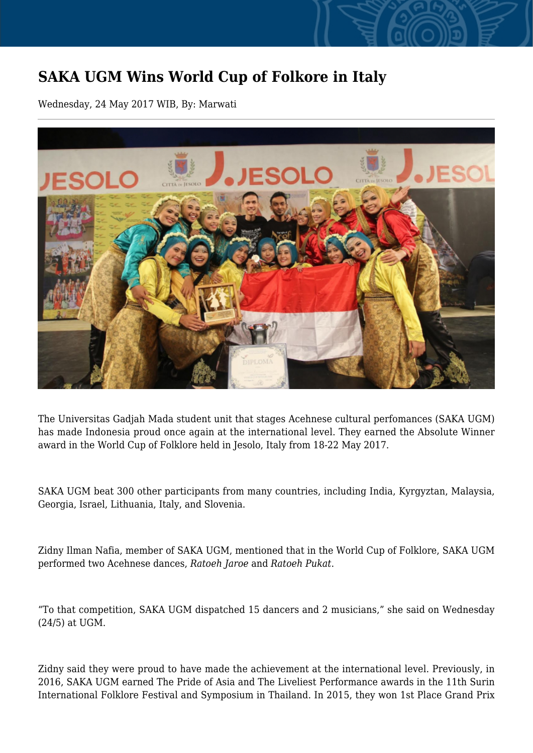## **SAKA UGM Wins World Cup of Folkore in Italy**

Wednesday, 24 May 2017 WIB, By: Marwati



The Universitas Gadjah Mada student unit that stages Acehnese cultural perfomances (SAKA UGM) has made Indonesia proud once again at the international level. They earned the Absolute Winner award in the World Cup of Folklore held in Jesolo, Italy from 18-22 May 2017.

SAKA UGM beat 300 other participants from many countries, including India, Kyrgyztan, Malaysia, Georgia, Israel, Lithuania, Italy, and Slovenia.

Zidny Ilman Nafia, member of SAKA UGM, mentioned that in the World Cup of Folklore, SAKA UGM performed two Acehnese dances, *Ratoeh Jaroe* and *Ratoeh Pukat*.

"To that competition, SAKA UGM dispatched 15 dancers and 2 musicians," she said on Wednesday (24/5) at UGM.

Zidny said they were proud to have made the achievement at the international level. Previously, in 2016, SAKA UGM earned The Pride of Asia and The Liveliest Performance awards in the 11th Surin International Folklore Festival and Symposium in Thailand. In 2015, they won 1st Place Grand Prix